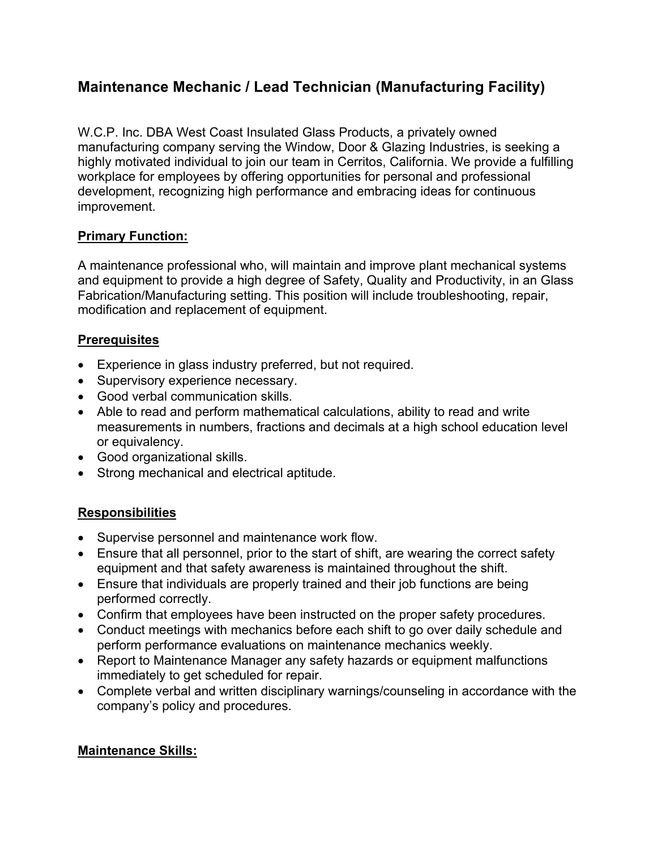# **Maintenance Mechanic / Lead Technician (Manufacturing Facility)**

W.C.P. Inc. DBA West Coast Insulated Glass Products, a privately owned manufacturing company serving the Window, Door & Glazing Industries, is seeking a highly motivated individual to join our team in Cerritos, California. We provide a fulfilling workplace for employees by offering opportunities for personal and professional development, recognizing high performance and embracing ideas for continuous improvement.

# **Primary Function:**

A maintenance professional who, will maintain and improve plant mechanical systems and equipment to provide a high degree of Safety, Quality and Productivity, in an Glass Fabrication/Manufacturing setting. This position will include troubleshooting, repair, modification and replacement of equipment.

# **Prerequisites**

- Experience in glass industry preferred, but not required.
- Supervisory experience necessary.
- Good verbal communication skills.
- Able to read and perform mathematical calculations, ability to read and write measurements in numbers, fractions and decimals at a high school education level or equivalency.
- Good organizational skills.
- Strong mechanical and electrical aptitude.

# **Responsibilities**

- Supervise personnel and maintenance work flow.
- Ensure that all personnel, prior to the start of shift, are wearing the correct safety equipment and that safety awareness is maintained throughout the shift.
- Ensure that individuals are properly trained and their job functions are being performed correctly.
- Confirm that employees have been instructed on the proper safety procedures.
- Conduct meetings with mechanics before each shift to go over daily schedule and perform performance evaluations on maintenance mechanics weekly.
- Report to Maintenance Manager any safety hazards or equipment malfunctions immediately to get scheduled for repair.
- Complete verbal and written disciplinary warnings/counseling in accordance with the company's policy and procedures.

#### **Maintenance Skills:**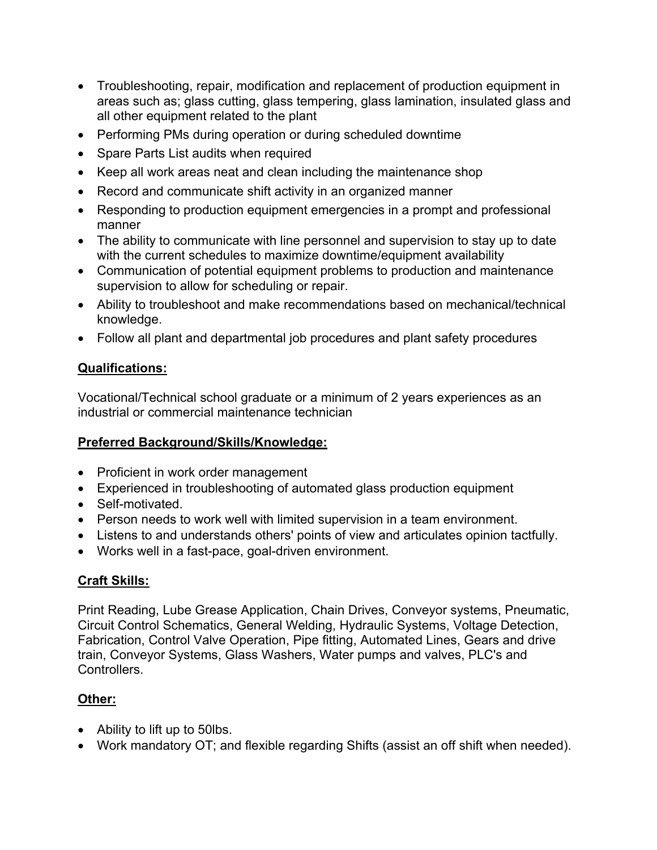- Troubleshooting, repair, modification and replacement of production equipment in areas such as; glass cutting, glass tempering, glass lamination, insulated glass and all other equipment related to the plant
- Performing PMs during operation or during scheduled downtime
- Spare Parts List audits when required
- Keep all work areas neat and clean including the maintenance shop
- Record and communicate shift activity in an organized manner
- Responding to production equipment emergencies in a prompt and professional manner
- The ability to communicate with line personnel and supervision to stay up to date with the current schedules to maximize downtime/equipment availability
- Communication of potential equipment problems to production and maintenance supervision to allow for scheduling or repair.
- Ability to troubleshoot and make recommendations based on mechanical/technical knowledge.
- Follow all plant and departmental job procedures and plant safety procedures

# **Qualifications:**

Vocational/Technical school graduate or a minimum of 2 years experiences as an industrial or commercial maintenance technician

# **Preferred Background/Skills/Knowledge:**

- Proficient in work order management
- Experienced in troubleshooting of automated glass production equipment
- Self-motivated.
- Person needs to work well with limited supervision in a team environment.
- Listens to and understands others' points of view and articulates opinion tactfully.
- Works well in a fast-pace, goal-driven environment.

# **Craft Skills:**

Print Reading, Lube Grease Application, Chain Drives, Conveyor systems, Pneumatic, Circuit Control Schematics, General Welding, Hydraulic Systems, Voltage Detection, Fabrication, Control Valve Operation, Pipe fitting, Automated Lines, Gears and drive train, Conveyor Systems, Glass Washers, Water pumps and valves, PLC's and Controllers.

# **Other:**

- Ability to lift up to 50lbs.
- Work mandatory OT; and flexible regarding Shifts (assist an off shift when needed).